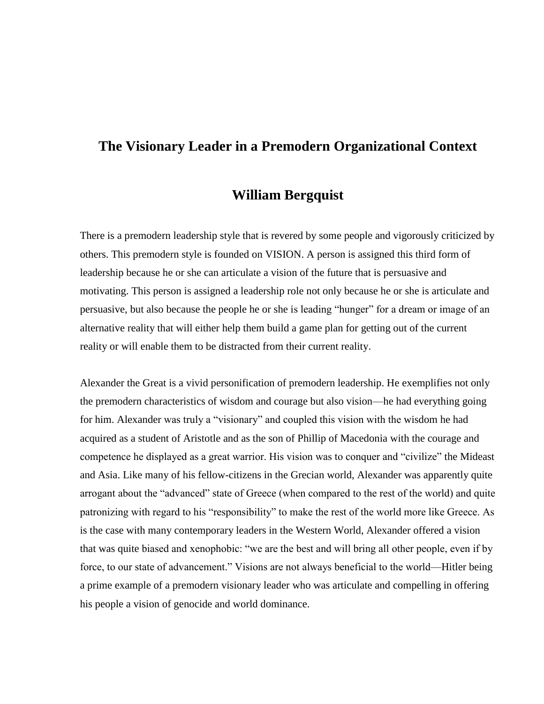# **The Visionary Leader in a Premodern Organizational Context**

## **William Bergquist**

There is a premodern leadership style that is revered by some people and vigorously criticized by others. This premodern style is founded on VISION. A person is assigned this third form of leadership because he or she can articulate a vision of the future that is persuasive and motivating. This person is assigned a leadership role not only because he or she is articulate and persuasive, but also because the people he or she is leading "hunger" for a dream or image of an alternative reality that will either help them build a game plan for getting out of the current reality or will enable them to be distracted from their current reality.

Alexander the Great is a vivid personification of premodern leadership. He exemplifies not only the premodern characteristics of wisdom and courage but also vision—he had everything going for him. Alexander was truly a "visionary" and coupled this vision with the wisdom he had acquired as a student of Aristotle and as the son of Phillip of Macedonia with the courage and competence he displayed as a great warrior. His vision was to conquer and "civilize" the Mideast and Asia. Like many of his fellow-citizens in the Grecian world, Alexander was apparently quite arrogant about the "advanced" state of Greece (when compared to the rest of the world) and quite patronizing with regard to his "responsibility" to make the rest of the world more like Greece. As is the case with many contemporary leaders in the Western World, Alexander offered a vision that was quite biased and xenophobic: "we are the best and will bring all other people, even if by force, to our state of advancement." Visions are not always beneficial to the world—Hitler being a prime example of a premodern visionary leader who was articulate and compelling in offering his people a vision of genocide and world dominance.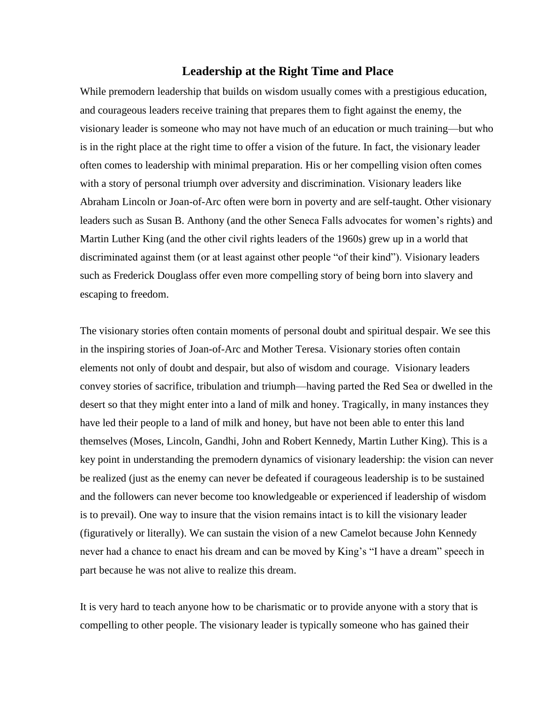#### **Leadership at the Right Time and Place**

While premodern leadership that builds on wisdom usually comes with a prestigious education, and courageous leaders receive training that prepares them to fight against the enemy, the visionary leader is someone who may not have much of an education or much training—but who is in the right place at the right time to offer a vision of the future. In fact, the visionary leader often comes to leadership with minimal preparation. His or her compelling vision often comes with a story of personal triumph over adversity and discrimination. Visionary leaders like Abraham Lincoln or Joan-of-Arc often were born in poverty and are self-taught. Other visionary leaders such as Susan B. Anthony (and the other Seneca Falls advocates for women's rights) and Martin Luther King (and the other civil rights leaders of the 1960s) grew up in a world that discriminated against them (or at least against other people "of their kind"). Visionary leaders such as Frederick Douglass offer even more compelling story of being born into slavery and escaping to freedom.

The visionary stories often contain moments of personal doubt and spiritual despair. We see this in the inspiring stories of Joan-of-Arc and Mother Teresa. Visionary stories often contain elements not only of doubt and despair, but also of wisdom and courage. Visionary leaders convey stories of sacrifice, tribulation and triumph—having parted the Red Sea or dwelled in the desert so that they might enter into a land of milk and honey. Tragically, in many instances they have led their people to a land of milk and honey, but have not been able to enter this land themselves (Moses, Lincoln, Gandhi, John and Robert Kennedy, Martin Luther King). This is a key point in understanding the premodern dynamics of visionary leadership: the vision can never be realized (just as the enemy can never be defeated if courageous leadership is to be sustained and the followers can never become too knowledgeable or experienced if leadership of wisdom is to prevail). One way to insure that the vision remains intact is to kill the visionary leader (figuratively or literally). We can sustain the vision of a new Camelot because John Kennedy never had a chance to enact his dream and can be moved by King's "I have a dream" speech in part because he was not alive to realize this dream.

It is very hard to teach anyone how to be charismatic or to provide anyone with a story that is compelling to other people. The visionary leader is typically someone who has gained their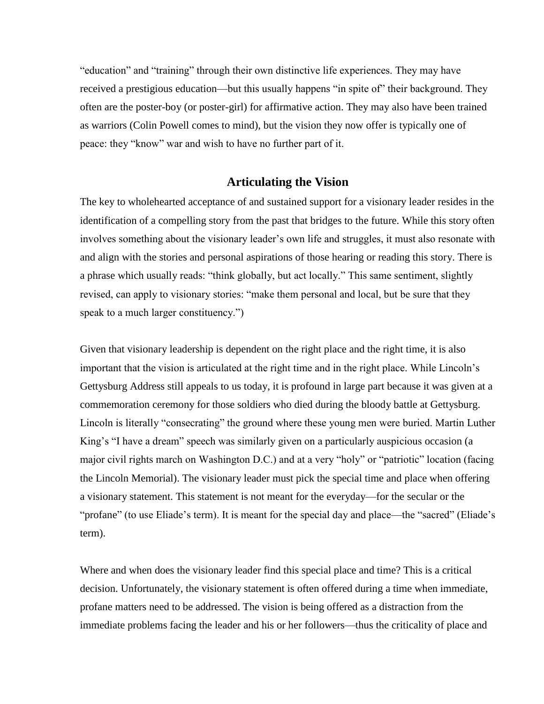"education" and "training" through their own distinctive life experiences. They may have received a prestigious education—but this usually happens "in spite of" their background. They often are the poster-boy (or poster-girl) for affirmative action. They may also have been trained as warriors (Colin Powell comes to mind), but the vision they now offer is typically one of peace: they "know" war and wish to have no further part of it.

### **Articulating the Vision**

The key to wholehearted acceptance of and sustained support for a visionary leader resides in the identification of a compelling story from the past that bridges to the future. While this story often involves something about the visionary leader's own life and struggles, it must also resonate with and align with the stories and personal aspirations of those hearing or reading this story. There is a phrase which usually reads: "think globally, but act locally." This same sentiment, slightly revised, can apply to visionary stories: "make them personal and local, but be sure that they speak to a much larger constituency."

Given that visionary leadership is dependent on the right place and the right time, it is also important that the vision is articulated at the right time and in the right place. While Lincoln's Gettysburg Address still appeals to us today, it is profound in large part because it was given at a commemoration ceremony for those soldiers who died during the bloody battle at Gettysburg. Lincoln is literally "consecrating" the ground where these young men were buried. Martin Luther King's "I have a dream" speech was similarly given on a particularly auspicious occasion (a major civil rights march on Washington D.C.) and at a very "holy" or "patriotic" location (facing the Lincoln Memorial). The visionary leader must pick the special time and place when offering a visionary statement. This statement is not meant for the everyday—for the secular or the "profane" (to use Eliade's term). It is meant for the special day and place—the "sacred" (Eliade's term).

Where and when does the visionary leader find this special place and time? This is a critical decision. Unfortunately, the visionary statement is often offered during a time when immediate, profane matters need to be addressed. The vision is being offered as a distraction from the immediate problems facing the leader and his or her followers—thus the criticality of place and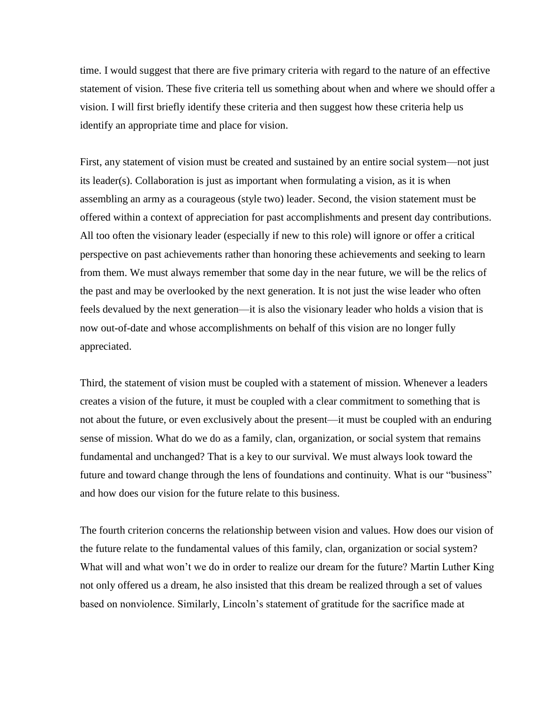time. I would suggest that there are five primary criteria with regard to the nature of an effective statement of vision. These five criteria tell us something about when and where we should offer a vision. I will first briefly identify these criteria and then suggest how these criteria help us identify an appropriate time and place for vision.

First, any statement of vision must be created and sustained by an entire social system—not just its leader(s). Collaboration is just as important when formulating a vision, as it is when assembling an army as a courageous (style two) leader. Second, the vision statement must be offered within a context of appreciation for past accomplishments and present day contributions. All too often the visionary leader (especially if new to this role) will ignore or offer a critical perspective on past achievements rather than honoring these achievements and seeking to learn from them. We must always remember that some day in the near future, we will be the relics of the past and may be overlooked by the next generation. It is not just the wise leader who often feels devalued by the next generation—it is also the visionary leader who holds a vision that is now out-of-date and whose accomplishments on behalf of this vision are no longer fully appreciated.

Third, the statement of vision must be coupled with a statement of mission. Whenever a leaders creates a vision of the future, it must be coupled with a clear commitment to something that is not about the future, or even exclusively about the present—it must be coupled with an enduring sense of mission. What do we do as a family, clan, organization, or social system that remains fundamental and unchanged? That is a key to our survival. We must always look toward the future and toward change through the lens of foundations and continuity. What is our "business" and how does our vision for the future relate to this business.

The fourth criterion concerns the relationship between vision and values. How does our vision of the future relate to the fundamental values of this family, clan, organization or social system? What will and what won't we do in order to realize our dream for the future? Martin Luther King not only offered us a dream, he also insisted that this dream be realized through a set of values based on nonviolence. Similarly, Lincoln's statement of gratitude for the sacrifice made at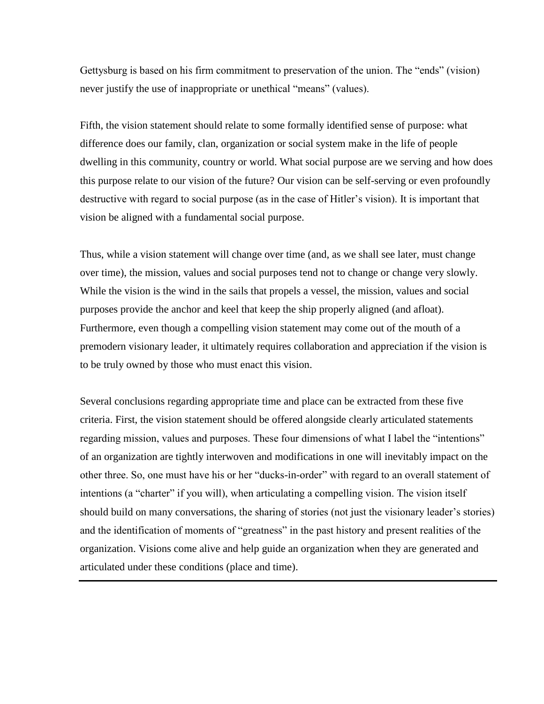Gettysburg is based on his firm commitment to preservation of the union. The "ends" (vision) never justify the use of inappropriate or unethical "means" (values).

Fifth, the vision statement should relate to some formally identified sense of purpose: what difference does our family, clan, organization or social system make in the life of people dwelling in this community, country or world. What social purpose are we serving and how does this purpose relate to our vision of the future? Our vision can be self-serving or even profoundly destructive with regard to social purpose (as in the case of Hitler's vision). It is important that vision be aligned with a fundamental social purpose.

Thus, while a vision statement will change over time (and, as we shall see later, must change over time), the mission, values and social purposes tend not to change or change very slowly. While the vision is the wind in the sails that propels a vessel, the mission, values and social purposes provide the anchor and keel that keep the ship properly aligned (and afloat). Furthermore, even though a compelling vision statement may come out of the mouth of a premodern visionary leader, it ultimately requires collaboration and appreciation if the vision is to be truly owned by those who must enact this vision.

Several conclusions regarding appropriate time and place can be extracted from these five criteria. First, the vision statement should be offered alongside clearly articulated statements regarding mission, values and purposes. These four dimensions of what I label the "intentions" of an organization are tightly interwoven and modifications in one will inevitably impact on the other three. So, one must have his or her "ducks-in-order" with regard to an overall statement of intentions (a "charter" if you will), when articulating a compelling vision. The vision itself should build on many conversations, the sharing of stories (not just the visionary leader's stories) and the identification of moments of "greatness" in the past history and present realities of the organization. Visions come alive and help guide an organization when they are generated and articulated under these conditions (place and time).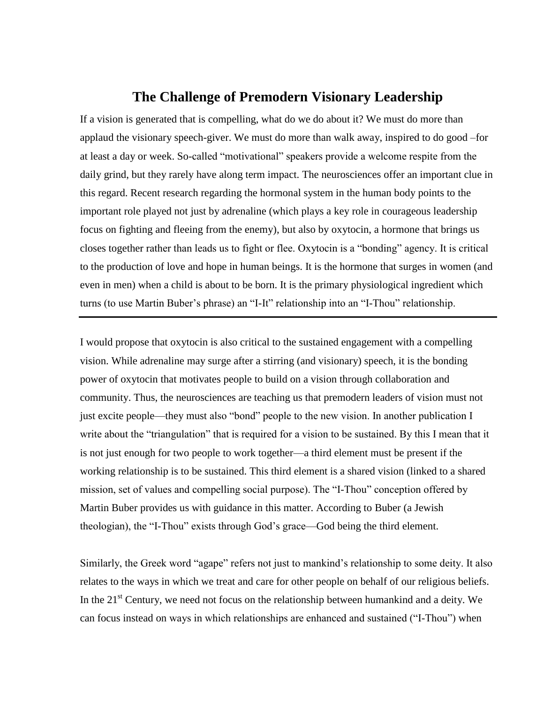## **The Challenge of Premodern Visionary Leadership**

If a vision is generated that is compelling, what do we do about it? We must do more than applaud the visionary speech-giver. We must do more than walk away, inspired to do good –for at least a day or week. So-called "motivational" speakers provide a welcome respite from the daily grind, but they rarely have along term impact. The neurosciences offer an important clue in this regard. Recent research regarding the hormonal system in the human body points to the important role played not just by adrenaline (which plays a key role in courageous leadership focus on fighting and fleeing from the enemy), but also by oxytocin, a hormone that brings us closes together rather than leads us to fight or flee. Oxytocin is a "bonding" agency. It is critical to the production of love and hope in human beings. It is the hormone that surges in women (and even in men) when a child is about to be born. It is the primary physiological ingredient which turns (to use Martin Buber's phrase) an "I-It" relationship into an "I-Thou" relationship.

I would propose that oxytocin is also critical to the sustained engagement with a compelling vision. While adrenaline may surge after a stirring (and visionary) speech, it is the bonding power of oxytocin that motivates people to build on a vision through collaboration and community. Thus, the neurosciences are teaching us that premodern leaders of vision must not just excite people—they must also "bond" people to the new vision. In another publication I write about the "triangulation" that is required for a vision to be sustained. By this I mean that it is not just enough for two people to work together—a third element must be present if the working relationship is to be sustained. This third element is a shared vision (linked to a shared mission, set of values and compelling social purpose). The "I-Thou" conception offered by Martin Buber provides us with guidance in this matter. According to Buber (a Jewish theologian), the "I-Thou" exists through God's grace—God being the third element.

Similarly, the Greek word "agape" refers not just to mankind's relationship to some deity. It also relates to the ways in which we treat and care for other people on behalf of our religious beliefs. In the  $21<sup>st</sup>$  Century, we need not focus on the relationship between humankind and a deity. We can focus instead on ways in which relationships are enhanced and sustained ("I-Thou") when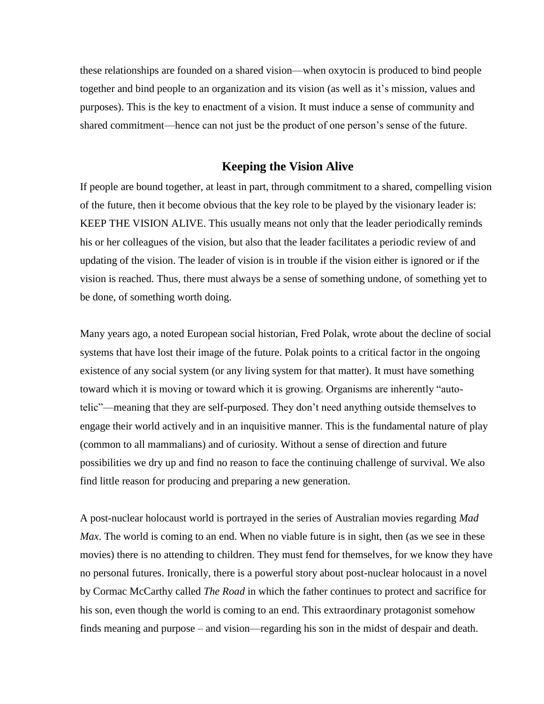these relationships are founded on a shared vision—when oxytocin is produced to bind people together and bind people to an organization and its vision (as well as it's mission, values and purposes). This is the key to enactment of a vision. It must induce a sense of community and shared commitment—hence can not just be the product of one person's sense of the future.

### **Keeping the Vision Alive**

If people are bound together, at least in part, through commitment to a shared, compelling vision of the future, then it become obvious that the key role to be played by the visionary leader is: KEEP THE VISION ALIVE. This usually means not only that the leader periodically reminds his or her colleagues of the vision, but also that the leader facilitates a periodic review of and updating of the vision. The leader of vision is in trouble if the vision either is ignored or if the vision is reached. Thus, there must always be a sense of something undone, of something yet to be done, of something worth doing.

Many years ago, a noted European social historian, Fred Polak, wrote about the decline of social systems that have lost their image of the future. Polak points to a critical factor in the ongoing existence of any social system (or any living system for that matter). It must have something toward which it is moving or toward which it is growing. Organisms are inherently "autotelic‖—meaning that they are self-purposed. They don't need anything outside themselves to engage their world actively and in an inquisitive manner. This is the fundamental nature of play (common to all mammalians) and of curiosity. Without a sense of direction and future possibilities we dry up and find no reason to face the continuing challenge of survival. We also find little reason for producing and preparing a new generation.

A post-nuclear holocaust world is portrayed in the series of Australian movies regarding *Mad Max*. The world is coming to an end. When no viable future is in sight, then (as we see in these movies) there is no attending to children. They must fend for themselves, for we know they have no personal futures. Ironically, there is a powerful story about post-nuclear holocaust in a novel by Cormac McCarthy called *The Road* in which the father continues to protect and sacrifice for his son, even though the world is coming to an end. This extraordinary protagonist somehow finds meaning and purpose – and vision—regarding his son in the midst of despair and death.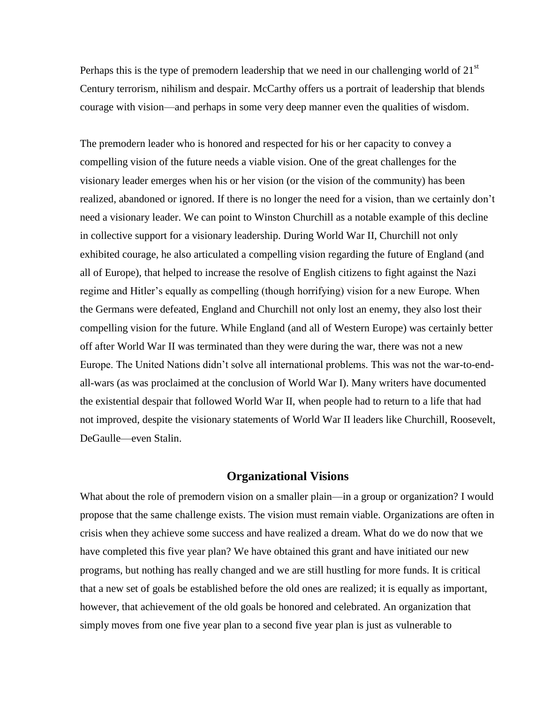Perhaps this is the type of premodern leadership that we need in our challenging world of  $21<sup>st</sup>$ Century terrorism, nihilism and despair. McCarthy offers us a portrait of leadership that blends courage with vision—and perhaps in some very deep manner even the qualities of wisdom.

The premodern leader who is honored and respected for his or her capacity to convey a compelling vision of the future needs a viable vision. One of the great challenges for the visionary leader emerges when his or her vision (or the vision of the community) has been realized, abandoned or ignored. If there is no longer the need for a vision, than we certainly don't need a visionary leader. We can point to Winston Churchill as a notable example of this decline in collective support for a visionary leadership. During World War II, Churchill not only exhibited courage, he also articulated a compelling vision regarding the future of England (and all of Europe), that helped to increase the resolve of English citizens to fight against the Nazi regime and Hitler's equally as compelling (though horrifying) vision for a new Europe. When the Germans were defeated, England and Churchill not only lost an enemy, they also lost their compelling vision for the future. While England (and all of Western Europe) was certainly better off after World War II was terminated than they were during the war, there was not a new Europe. The United Nations didn't solve all international problems. This was not the war-to-endall-wars (as was proclaimed at the conclusion of World War I). Many writers have documented the existential despair that followed World War II, when people had to return to a life that had not improved, despite the visionary statements of World War II leaders like Churchill, Roosevelt, DeGaulle—even Stalin.

### **Organizational Visions**

What about the role of premodern vision on a smaller plain—in a group or organization? I would propose that the same challenge exists. The vision must remain viable. Organizations are often in crisis when they achieve some success and have realized a dream. What do we do now that we have completed this five year plan? We have obtained this grant and have initiated our new programs, but nothing has really changed and we are still hustling for more funds. It is critical that a new set of goals be established before the old ones are realized; it is equally as important, however, that achievement of the old goals be honored and celebrated. An organization that simply moves from one five year plan to a second five year plan is just as vulnerable to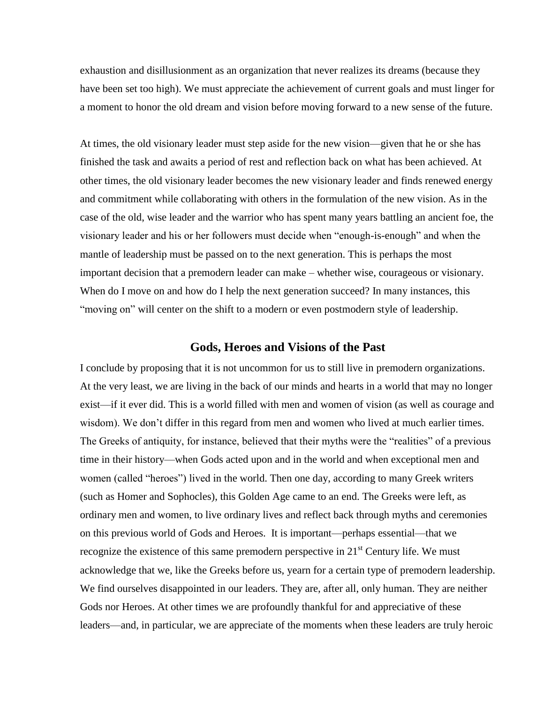exhaustion and disillusionment as an organization that never realizes its dreams (because they have been set too high). We must appreciate the achievement of current goals and must linger for a moment to honor the old dream and vision before moving forward to a new sense of the future.

At times, the old visionary leader must step aside for the new vision—given that he or she has finished the task and awaits a period of rest and reflection back on what has been achieved. At other times, the old visionary leader becomes the new visionary leader and finds renewed energy and commitment while collaborating with others in the formulation of the new vision. As in the case of the old, wise leader and the warrior who has spent many years battling an ancient foe, the visionary leader and his or her followers must decide when "enough-is-enough" and when the mantle of leadership must be passed on to the next generation. This is perhaps the most important decision that a premodern leader can make – whether wise, courageous or visionary. When do I move on and how do I help the next generation succeed? In many instances, this "moving on" will center on the shift to a modern or even postmodern style of leadership.

### **Gods, Heroes and Visions of the Past**

I conclude by proposing that it is not uncommon for us to still live in premodern organizations. At the very least, we are living in the back of our minds and hearts in a world that may no longer exist—if it ever did. This is a world filled with men and women of vision (as well as courage and wisdom). We don't differ in this regard from men and women who lived at much earlier times. The Greeks of antiquity, for instance, believed that their myths were the "realities" of a previous time in their history—when Gods acted upon and in the world and when exceptional men and women (called "heroes") lived in the world. Then one day, according to many Greek writers (such as Homer and Sophocles), this Golden Age came to an end. The Greeks were left, as ordinary men and women, to live ordinary lives and reflect back through myths and ceremonies on this previous world of Gods and Heroes. It is important—perhaps essential—that we recognize the existence of this same premodern perspective in  $21<sup>st</sup>$  Century life. We must acknowledge that we, like the Greeks before us, yearn for a certain type of premodern leadership. We find ourselves disappointed in our leaders. They are, after all, only human. They are neither Gods nor Heroes. At other times we are profoundly thankful for and appreciative of these leaders—and, in particular, we are appreciate of the moments when these leaders are truly heroic